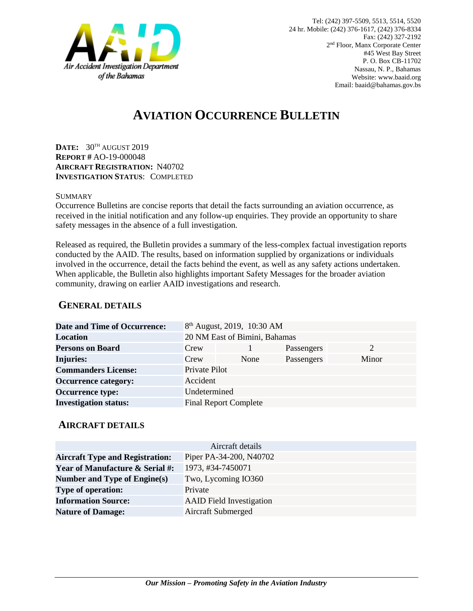

# **AVIATION OCCURRENCE BULLETIN**

**DATE:** 30TH AUGUST 2019 **REPORT #** AO-19-000048 **AIRCRAFT REGISTRATION:** N40702 **INVESTIGATION STATUS**: COMPLETED

#### **SUMMARY**

Occurrence Bulletins are concise reports that detail the facts surrounding an aviation occurrence, as received in the initial notification and any follow-up enquiries. They provide an opportunity to share safety messages in the absence of a full investigation*.*

Released as required, the Bulletin provides a summary of the less-complex factual investigation reports conducted by the AAID. The results, based on information supplied by organizations or individuals involved in the occurrence, detail the facts behind the event, as well as any safety actions undertaken. When applicable, the Bulletin also highlights important Safety Messages for the broader aviation community, drawing on earlier AAID investigations and research.

### **GENERAL DETAILS**

| <b>Date and Time of Occurrence:</b> |                               | 8 <sup>th</sup> August, 2019, 10:30 AM |            |       |
|-------------------------------------|-------------------------------|----------------------------------------|------------|-------|
| <b>Location</b>                     | 20 NM East of Bimini, Bahamas |                                        |            |       |
| <b>Persons on Board</b>             | Crew                          |                                        | Passengers | 2     |
| <b>Injuries:</b>                    | Crew                          | None                                   | Passengers | Minor |
| <b>Commanders License:</b>          | Private Pilot                 |                                        |            |       |
| <b>Occurrence category:</b>         | Accident                      |                                        |            |       |
| <b>Occurrence type:</b>             | Undetermined                  |                                        |            |       |
| <b>Investigation status:</b>        |                               | <b>Final Report Complete</b>           |            |       |

#### **AIRCRAFT DETAILS**

| Aircraft details                           |                                 |  |  |
|--------------------------------------------|---------------------------------|--|--|
| <b>Aircraft Type and Registration:</b>     | Piper PA-34-200, N40702         |  |  |
| <b>Year of Manufacture &amp; Serial #:</b> | 1973, #34-7450071               |  |  |
| Number and Type of Engine(s)               | Two, Lycoming IO360             |  |  |
| <b>Type of operation:</b>                  | Private                         |  |  |
| <b>Information Source:</b>                 | <b>AAID</b> Field Investigation |  |  |
| <b>Nature of Damage:</b>                   | Aircraft Submerged              |  |  |